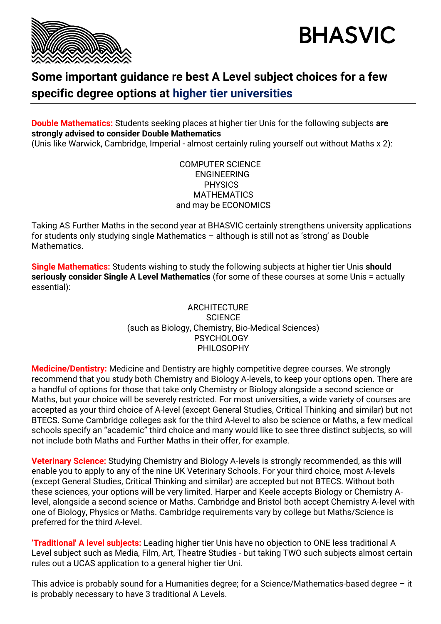



## **Some important guidance re best A Level subject choices for a few specific degree options at higher tier universities**

**Double Mathematics:** Students seeking places at higher tier Unis for the following subjects **are strongly advised to consider Double Mathematics**

(Unis like Warwick, Cambridge, Imperial - almost certainly ruling yourself out without Maths x 2):

## COMPUTER SCIENCE ENGINEERING **PHYSICS MATHEMATICS** and may be ECONOMICS

Taking AS Further Maths in the second year at BHASVIC certainly strengthens university applications for students only studying single Mathematics – although is still not as 'strong' as Double **Mathematics** 

**Single Mathematics:** Students wishing to study the following subjects at higher tier Unis **should seriously consider Single A Level Mathematics** (for some of these courses at some Unis = actually essential):

## **ARCHITECTURE SCIENCE** (such as Biology, Chemistry, Bio-Medical Sciences) **PSYCHOLOGY** PHII OSOPHY

**Medicine/Dentistry:** Medicine and Dentistry are highly competitive degree courses. We strongly recommend that you study both Chemistry and Biology A-levels, to keep your options open. There are a handful of options for those that take only Chemistry or Biology alongside a second science or Maths, but your choice will be severely restricted. For most universities, a wide variety of courses are accepted as your third choice of A-level (except General Studies, Critical Thinking and similar) but not BTECS. Some Cambridge colleges ask for the third A-level to also be science or Maths, a few medical schools specify an "academic" third choice and many would like to see three distinct subjects, so will not include both Maths and Further Maths in their offer, for example.

**Veterinary Science:** Studying Chemistry and Biology A-levels is strongly recommended, as this will enable you to apply to any of the nine UK Veterinary Schools. For your third choice, most A-levels (except General Studies, Critical Thinking and similar) are accepted but not BTECS. Without both these sciences, your options will be very limited. Harper and Keele accepts Biology or Chemistry Alevel, alongside a second science or Maths. Cambridge and Bristol both accept Chemistry A-level with one of Biology, Physics or Maths. Cambridge requirements vary by college but Maths/Science is preferred for the third A-level.

**'Traditional' A level subjects:** Leading higher tier Unis have no objection to ONE less traditional A Level subject such as Media, Film, Art, Theatre Studies - but taking TWO such subjects almost certain rules out a UCAS application to a general higher tier Uni.

This advice is probably sound for a Humanities degree; for a Science/Mathematics-based degree – it is probably necessary to have 3 traditional A Levels.